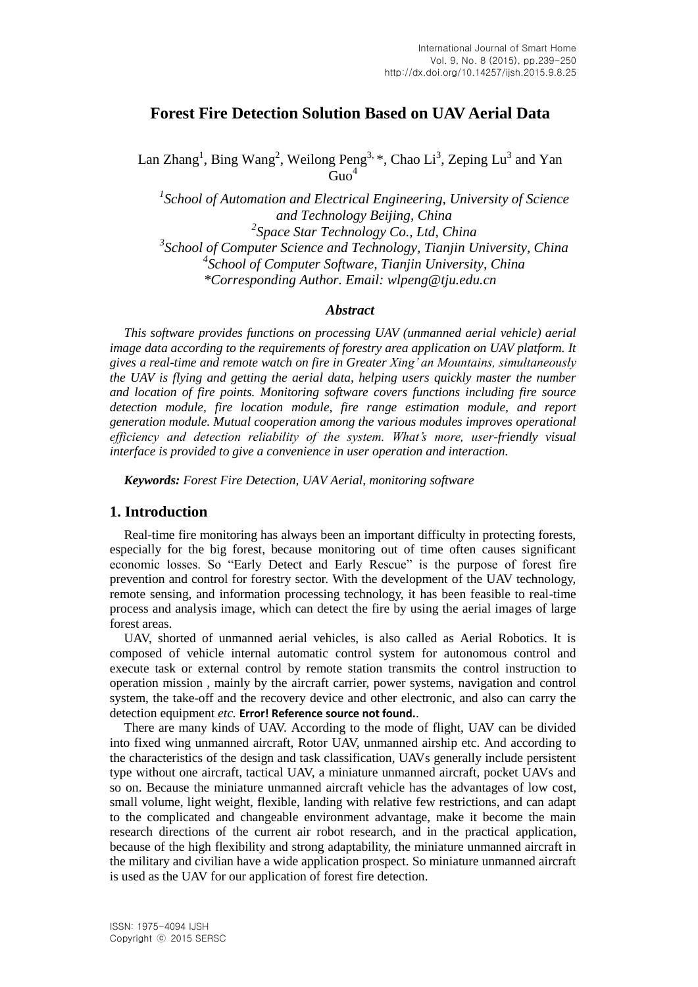# **Forest Fire Detection Solution Based on UAV Aerial Data**

Lan Zhang<sup>1</sup>, Bing Wang<sup>2</sup>, Weilong Peng<sup>3, \*</sup>, Chao Li<sup>3</sup>, Zeping Lu<sup>3</sup> and Yan  $\overline{G}$ uo<sup>4</sup>

<sup>1</sup> School of Automation and Electrical Engineering, University of Science *and Technology Beijing, China 2 Space Star Technology Co., Ltd, China 3 School of Computer Science and Technology, Tianjin University, China 4 School of Computer Software, Tianjin University, China \*Corresponding Author. Email: wlpeng@tju.edu.cn*

#### *Abstract*

*This software provides functions on processing UAV (unmanned aerial vehicle) aerial image data according to the requirements of forestry area application on UAV platform. It gives a real-time and remote watch on fire in Greater Xing' an Mountains, simultaneously the UAV is flying and getting the aerial data, helping users quickly master the number and location of fire points. Monitoring software covers functions including fire source detection module, fire location module, fire range estimation module, and report generation module. Mutual cooperation among the various modules improves operational efficiency and detection reliability of the system. What's more, user-friendly visual interface is provided to give a convenience in user operation and interaction.*

*Keywords: Forest Fire Detection, UAV Aerial, monitoring software*

#### **1. Introduction**

Real-time fire monitoring has always been an important difficulty in protecting forests, especially for the big forest, because monitoring out of time often causes significant economic losses. So "Early Detect and Early Rescue" is the purpose of forest fire prevention and control for forestry sector. With the development of the UAV technology, remote sensing, and information processing technology, it has been feasible to real-time process and analysis image, which can detect the fire by using the aerial images of large forest areas.

UAV, shorted of unmanned aerial vehicles, is also called as Aerial Robotics. It is composed of vehicle internal automatic control system for autonomous control and execute task or external control by remote station transmits the control instruction to operation mission , mainly by the aircraft carrier, power systems, navigation and control system, the take-off and the recovery device and other electronic, and also can carry the detection equipment *etc.* **Error! Reference source not found.**.

There are many kinds of UAV. According to the mode of flight, UAV can be divided into fixed wing unmanned aircraft, Rotor UAV, unmanned airship etc. And according to the characteristics of the design and task classification, UAVs generally include persistent type without one aircraft, tactical UAV, a miniature unmanned aircraft, pocket UAVs and so on. Because the miniature unmanned aircraft vehicle has the advantages of low cost, small volume, light weight, flexible, landing with relative few restrictions, and can adapt to the complicated and changeable environment advantage, make it become the main research directions of the current air robot research, and in the practical application, because of the high flexibility and strong adaptability, the miniature unmanned aircraft in the military and civilian have a wide application prospect. So miniature unmanned aircraft is used as the UAV for our application of forest fire detection.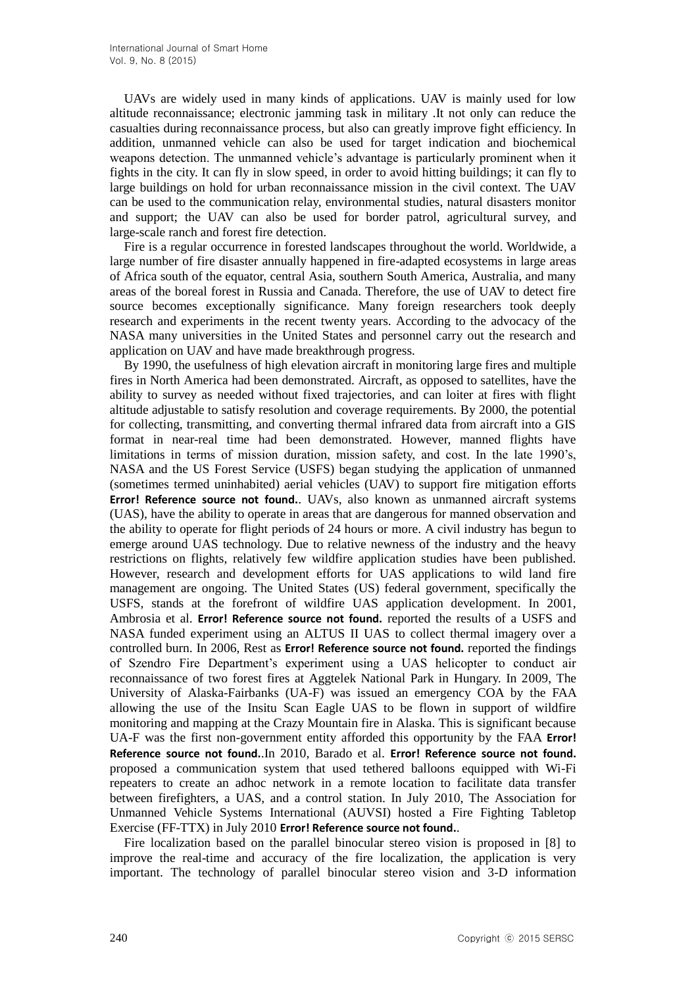UAVs are widely used in many kinds of applications. UAV is mainly used for low altitude reconnaissance; electronic jamming task in military .It not only can reduce the casualties during reconnaissance process, but also can greatly improve fight efficiency. In addition, unmanned vehicle can also be used for target indication and biochemical weapons detection. The unmanned vehicle's advantage is particularly prominent when it fights in the city. It can fly in slow speed, in order to avoid hitting buildings; it can fly to large buildings on hold for urban reconnaissance mission in the civil context. The UAV can be used to the communication relay, environmental studies, natural disasters monitor and support; the UAV can also be used for border patrol, agricultural survey, and large-scale ranch and forest fire detection.

Fire is a regular occurrence in forested landscapes throughout the world. Worldwide, a large number of fire disaster annually happened in fire-adapted ecosystems in large areas of Africa south of the equator, central Asia, southern South America, Australia, and many areas of the boreal forest in Russia and Canada. Therefore, the use of UAV to detect fire source becomes exceptionally significance. Many foreign researchers took deeply research and experiments in the recent twenty years. According to the advocacy of the NASA many universities in the United States and personnel carry out the research and application on UAV and have made breakthrough progress.

By 1990, the usefulness of high elevation aircraft in monitoring large fires and multiple fires in North America had been demonstrated. Aircraft, as opposed to satellites, have the ability to survey as needed without fixed trajectories, and can loiter at fires with flight altitude adjustable to satisfy resolution and coverage requirements. By 2000, the potential for collecting, transmitting, and converting thermal infrared data from aircraft into a GIS format in near-real time had been demonstrated. However, manned flights have limitations in terms of mission duration, mission safety, and cost. In the late 1990's, NASA and the US Forest Service (USFS) began studying the application of unmanned (sometimes termed uninhabited) aerial vehicles (UAV) to support fire mitigation efforts **Error! Reference source not found.**. UAVs, also known as unmanned aircraft systems (UAS), have the ability to operate in areas that are dangerous for manned observation and the ability to operate for flight periods of 24 hours or more. A civil industry has begun to emerge around UAS technology. Due to relative newness of the industry and the heavy restrictions on flights, relatively few wildfire application studies have been published. However, research and development efforts for UAS applications to wild land fire management are ongoing. The United States (US) federal government, specifically the USFS, stands at the forefront of wildfire UAS application development. In 2001, Ambrosia et al. **Error! Reference source not found.** reported the results of a USFS and NASA funded experiment using an ALTUS II UAS to collect thermal imagery over a controlled burn. In 2006, Rest as **Error! Reference source not found.** reported the findings of Szendro Fire Department's experiment using a UAS helicopter to conduct air reconnaissance of two forest fires at Aggtelek National Park in Hungary. In 2009, The University of Alaska-Fairbanks (UA-F) was issued an emergency COA by the FAA allowing the use of the Insitu Scan Eagle UAS to be flown in support of wildfire monitoring and mapping at the Crazy Mountain fire in Alaska. This is significant because UA-F was the first non-government entity afforded this opportunity by the FAA **Error! Reference source not found.**.In 2010, Barado et al. **Error! Reference source not found.** proposed a communication system that used tethered balloons equipped with Wi-Fi repeaters to create an adhoc network in a remote location to facilitate data transfer between firefighters, a UAS, and a control station. In July 2010, The Association for Unmanned Vehicle Systems International (AUVSI) hosted a Fire Fighting Tabletop Exercise (FF-TTX) in July 2010 **Error! Reference source not found.**.

Fire localization based on the parallel binocular stereo vision is proposed in [8] to improve the real-time and accuracy of the fire localization, the application is very important. The technology of parallel binocular stereo vision and 3-D information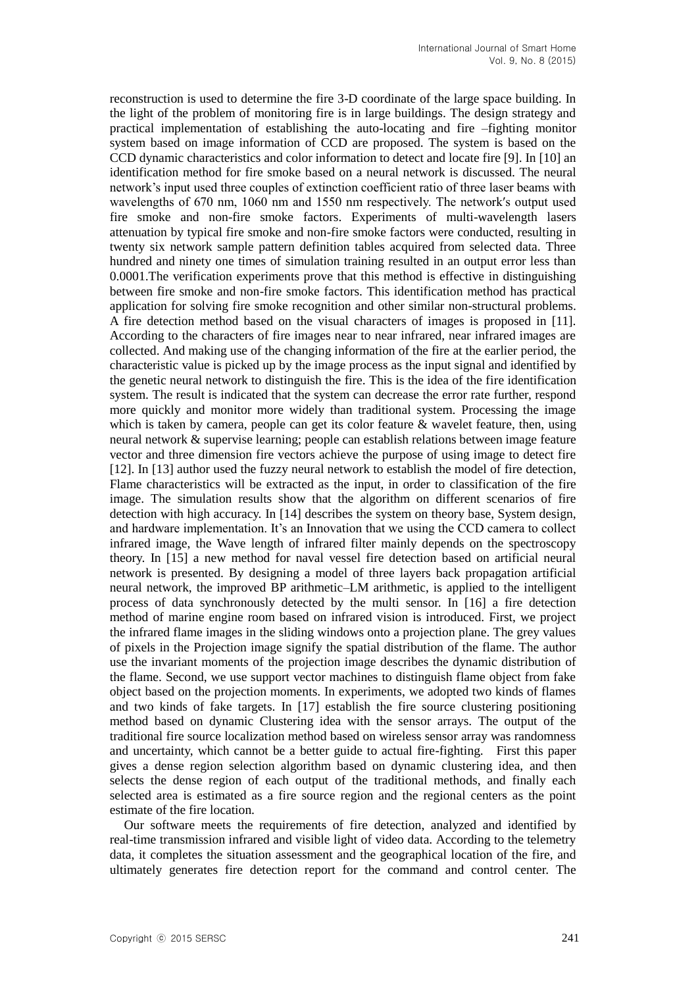reconstruction is used to determine the fire 3-D coordinate of the large space building. In the light of the problem of monitoring fire is in large buildings. The design strategy and practical implementation of establishing the auto-locating and fire –fighting monitor system based on image information of CCD are proposed. The system is based on the CCD dynamic characteristics and color information to detect and locate fire [9]. In [10] an identification method for fire smoke based on a neural network is discussed. The neural network's input used three couples of extinction coefficient ratio of three laser beams with wavelengths of 670 nm, 1060 nm and 1550 nm respectively. The network's output used fire smoke and non-fire smoke factors. Experiments of multi-wavelength lasers attenuation by typical fire smoke and non-fire smoke factors were conducted, resulting in twenty six network sample pattern definition tables acquired from selected data. Three hundred and ninety one times of simulation training resulted in an output error less than 0.0001.The verification experiments prove that this method is effective in distinguishing between fire smoke and non-fire smoke factors. This identification method has practical application for solving fire smoke recognition and other similar non-structural problems. A fire detection method based on the visual characters of images is proposed in [11]. According to the characters of fire images near to near infrared, near infrared images are collected. And making use of the changing information of the fire at the earlier period, the characteristic value is picked up by the image process as the input signal and identified by the genetic neural network to distinguish the fire. This is the idea of the fire identification system. The result is indicated that the system can decrease the error rate further, respond more quickly and monitor more widely than traditional system. Processing the image which is taken by camera, people can get its color feature  $\&$  wavelet feature, then, using neural network & supervise learning; people can establish relations between image feature vector and three dimension fire vectors achieve the purpose of using image to detect fire [12]. In [13] author used the fuzzy neural network to establish the model of fire detection, Flame characteristics will be extracted as the input, in order to classification of the fire image. The simulation results show that the algorithm on different scenarios of fire detection with high accuracy. In [14] describes the system on theory base, System design, and hardware implementation. It's an Innovation that we using the CCD camera to collect infrared image, the Wave length of infrared filter mainly depends on the spectroscopy theory. In [15] a new method for naval vessel fire detection based on artificial neural network is presented. By designing a model of three layers back propagation artificial neural network, the improved BP arithmetic–LM arithmetic, is applied to the intelligent process of data synchronously detected by the multi sensor. In [16] a fire detection method of marine engine room based on infrared vision is introduced. First, we project the infrared flame images in the sliding windows onto a projection plane. The grey values of pixels in the Projection image signify the spatial distribution of the flame. The author use the invariant moments of the projection image describes the dynamic distribution of the flame. Second, we use support vector machines to distinguish flame object from fake object based on the projection moments. In experiments, we adopted two kinds of flames and two kinds of fake targets. In [17] establish the fire source clustering positioning method based on dynamic Clustering idea with the sensor arrays. The output of the traditional fire source localization method based on wireless sensor array was randomness and uncertainty, which cannot be a better guide to actual fire-fighting. First this paper gives a dense region selection algorithm based on dynamic clustering idea, and then selects the dense region of each output of the traditional methods, and finally each selected area is estimated as a fire source region and the regional centers as the point estimate of the fire location.

Our software meets the requirements of fire detection, analyzed and identified by real-time transmission infrared and visible light of video data. According to the telemetry data, it completes the situation assessment and the geographical location of the fire, and ultimately generates fire detection report for the command and control center. The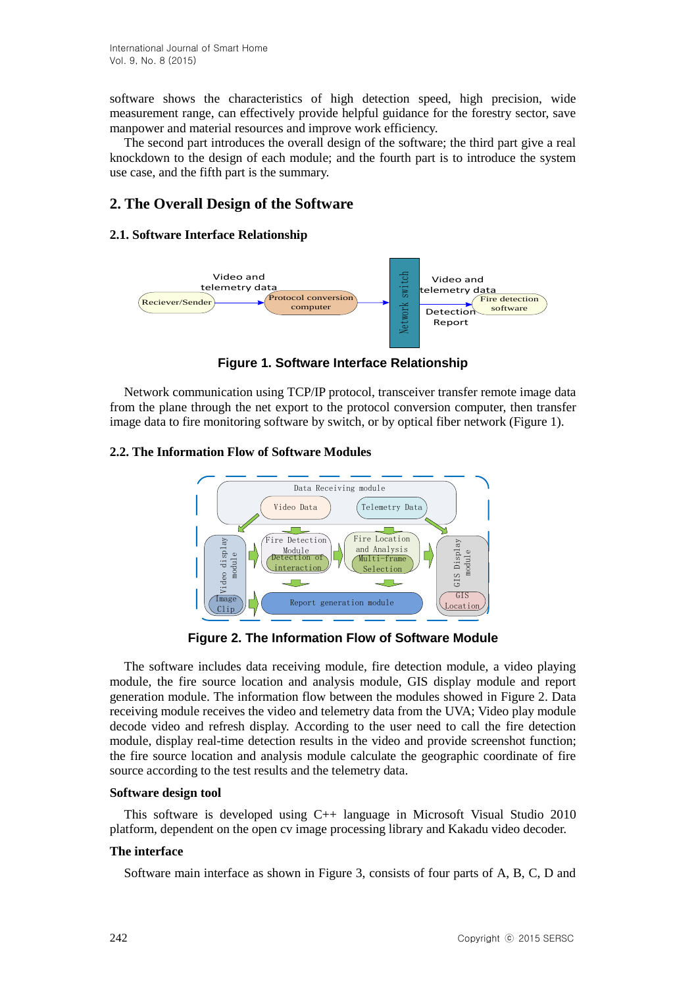software shows the characteristics of high detection speed, high precision, wide measurement range, can effectively provide helpful guidance for the forestry sector, save manpower and material resources and improve work efficiency.

The second part introduces the overall design of the software; the third part give a real knockdown to the design of each module; and the fourth part is to introduce the system use case, and the fifth part is the summary.

# **2. The Overall Design of the Software**

## **2.1. Software Interface Relationship**



**Figure 1. Software Interface Relationship**

Network communication using TCP/IP protocol, transceiver transfer remote image data from the plane through the net export to the protocol conversion computer, then transfer image data to fire monitoring software by switch, or by optical fiber network (Figure 1).

## **2.2. The Information Flow of Software Modules**



**Figure 2. The Information Flow of Software Module**

The software includes data receiving module, fire detection module, a video playing module, the fire source location and analysis module, GIS display module and report generation module. The information flow between the modules showed in Figure 2. Data receiving module receives the video and telemetry data from the UVA; Video play module decode video and refresh display. According to the user need to call the fire detection module, display real-time detection results in the video and provide screenshot function; the fire source location and analysis module calculate the geographic coordinate of fire source according to the test results and the telemetry data.

#### **Software design tool**

This software is developed using C++ language in Microsoft Visual Studio 2010 platform, dependent on the open cv image processing library and Kakadu video decoder.

## **The interface**

Software main interface as shown in Figure 3, consists of four parts of A, B, C, D and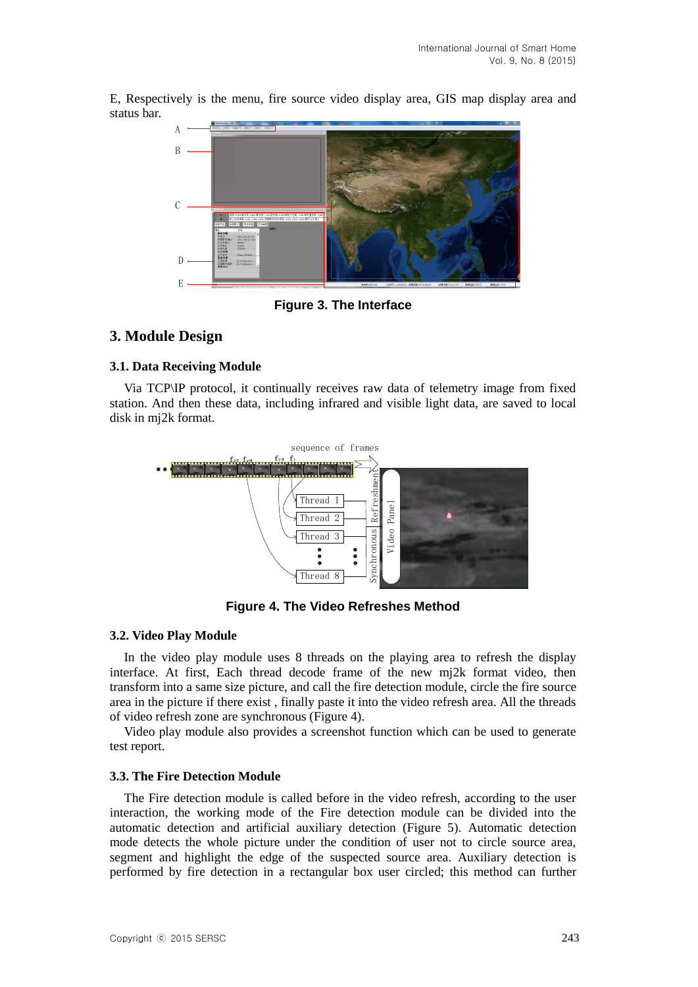E, Respectively is the menu, fire source video display area, GIS map display area and status bar.



**Figure 3. The Interface**

# **3. Module Design**

## **3.1. Data Receiving Module**

Via TCP\IP protocol, it continually receives raw data of telemetry image from fixed station. And then these data, including infrared and visible light data, are saved to local disk in mj2k format.



**Figure 4. The Video Refreshes Method**

#### **3.2. Video Play Module**

In the video play module uses 8 threads on the playing area to refresh the display interface. At first, Each thread decode frame of the new mj2k format video, then transform into a same size picture, and call the fire detection module, circle the fire source area in the picture if there exist , finally paste it into the video refresh area. All the threads of video refresh zone are synchronous (Figure 4).

Video play module also provides a screenshot function which can be used to generate test report.

## **3.3. The Fire Detection Module**

The Fire detection module is called before in the video refresh, according to the user interaction, the working mode of the Fire detection module can be divided into the automatic detection and artificial auxiliary detection (Figure 5). Automatic detection mode detects the whole picture under the condition of user not to circle source area, segment and highlight the edge of the suspected source area. Auxiliary detection is performed by fire detection in a rectangular box user circled; this method can further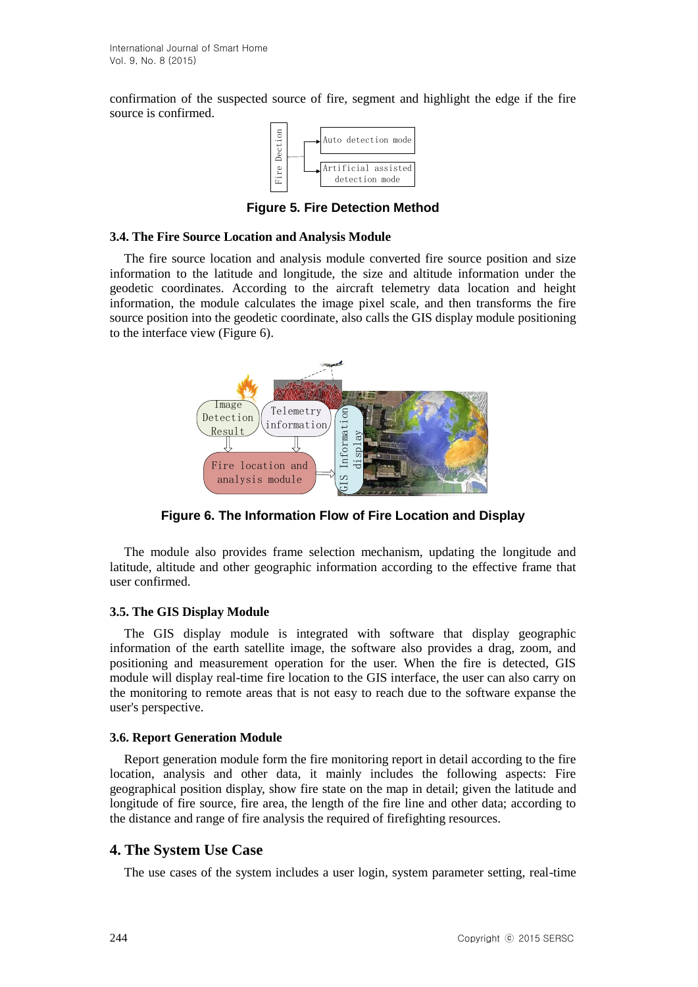confirmation of the suspected source of fire, segment and highlight the edge if the fire source is confirmed.



**Figure 5. Fire Detection Method**

#### **3.4. The Fire Source Location and Analysis Module**

The fire source location and analysis module converted fire source position and size information to the latitude and longitude, the size and altitude information under the geodetic coordinates. According to the aircraft telemetry data location and height information, the module calculates the image pixel scale, and then transforms the fire source position into the geodetic coordinate, also calls the GIS display module positioning to the interface view (Figure 6).



**Figure 6. The Information Flow of Fire Location and Display**

The module also provides frame selection mechanism, updating the longitude and latitude, altitude and other geographic information according to the effective frame that user confirmed.

## **3.5. The GIS Display Module**

The GIS display module is integrated with software that display geographic information of the earth satellite image, the software also provides a drag, zoom, and positioning and measurement operation for the user. When the fire is detected, GIS module will display real-time fire location to the GIS interface, the user can also carry on the monitoring to remote areas that is not easy to reach due to the software expanse the user's perspective.

## **3.6. Report Generation Module**

Report generation module form the fire monitoring report in detail according to the fire location, analysis and other data, it mainly includes the following aspects: Fire geographical position display, show fire state on the map in detail; given the latitude and longitude of fire source, fire area, the length of the fire line and other data; according to the distance and range of fire analysis the required of firefighting resources.

## **4. The System Use Case**

The use cases of the system includes a user login, system parameter setting, real-time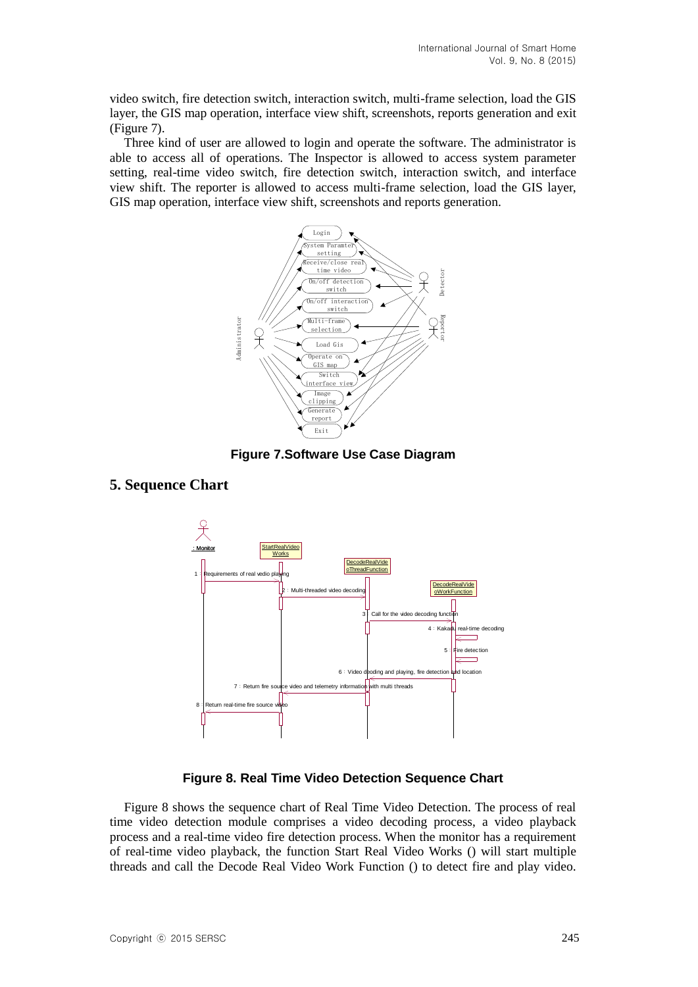video switch, fire detection switch, interaction switch, multi-frame selection, load the GIS layer, the GIS map operation, interface view shift, screenshots, reports generation and exit (Figure 7).

Three kind of user are allowed to login and operate the software. The administrator is able to access all of operations. The Inspector is allowed to access system parameter setting, real-time video switch, fire detection switch, interaction switch, and interface view shift. The reporter is allowed to access multi-frame selection, load the GIS layer, GIS map operation, interface view shift, screenshots and reports generation.



**Figure 7.Software Use Case Diagram**

## **5. Sequence Chart**



**Figure 8. Real Time Video Detection Sequence Chart**

Figure 8 shows the sequence chart of Real Time Video Detection. The process of real time video detection module comprises a video decoding process, a video playback process and a real-time video fire detection process. When the monitor has a requirement of real-time video playback, the function Start Real Video Works () will start multiple threads and call the Decode Real Video Work Function () to detect fire and play video.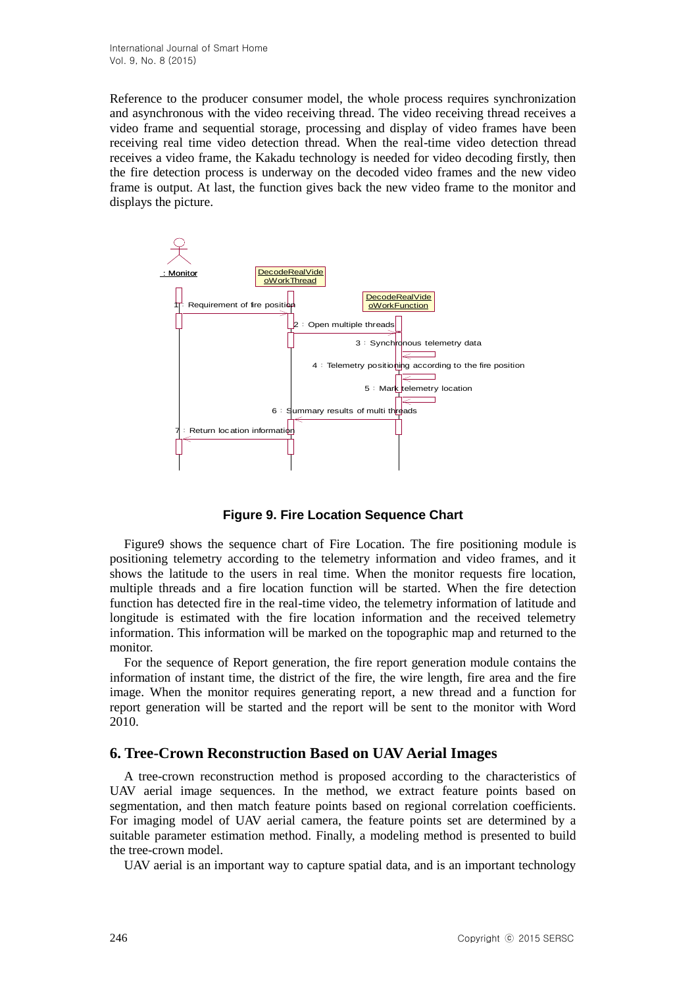Reference to the producer consumer model, the whole process requires synchronization and asynchronous with the video receiving thread. The video receiving thread receives a video frame and sequential storage, processing and display of video frames have been receiving real time video detection thread. When the real-time video detection thread receives a video frame, the Kakadu technology is needed for video decoding firstly, then the fire detection process is underway on the decoded video frames and the new video frame is output. At last, the function gives back the new video frame to the monitor and displays the picture.



**Figure 9. Fire Location Sequence Chart**

Figure9 shows the sequence chart of Fire Location. The fire positioning module is positioning telemetry according to the telemetry information and video frames, and it shows the latitude to the users in real time. When the monitor requests fire location, multiple threads and a fire location function will be started. When the fire detection function has detected fire in the real-time video, the telemetry information of latitude and longitude is estimated with the fire location information and the received telemetry information. This information will be marked on the topographic map and returned to the monitor.

For the sequence of Report generation, the fire report generation module contains the information of instant time, the district of the fire, the wire length, fire area and the fire image. When the monitor requires generating report, a new thread and a function for report generation will be started and the report will be sent to the monitor with Word 2010.

#### **6. Tree-Crown Reconstruction Based on UAV Aerial Images**

A tree-crown reconstruction method is proposed according to the characteristics of UAV aerial image sequences. In the method, we extract feature points based on segmentation, and then match feature points based on regional correlation coefficients. For imaging model of UAV aerial camera, the feature points set are determined by a suitable parameter estimation method. Finally, a modeling method is presented to build the tree-crown model.

UAV aerial is an important way to capture spatial data, and is an important technology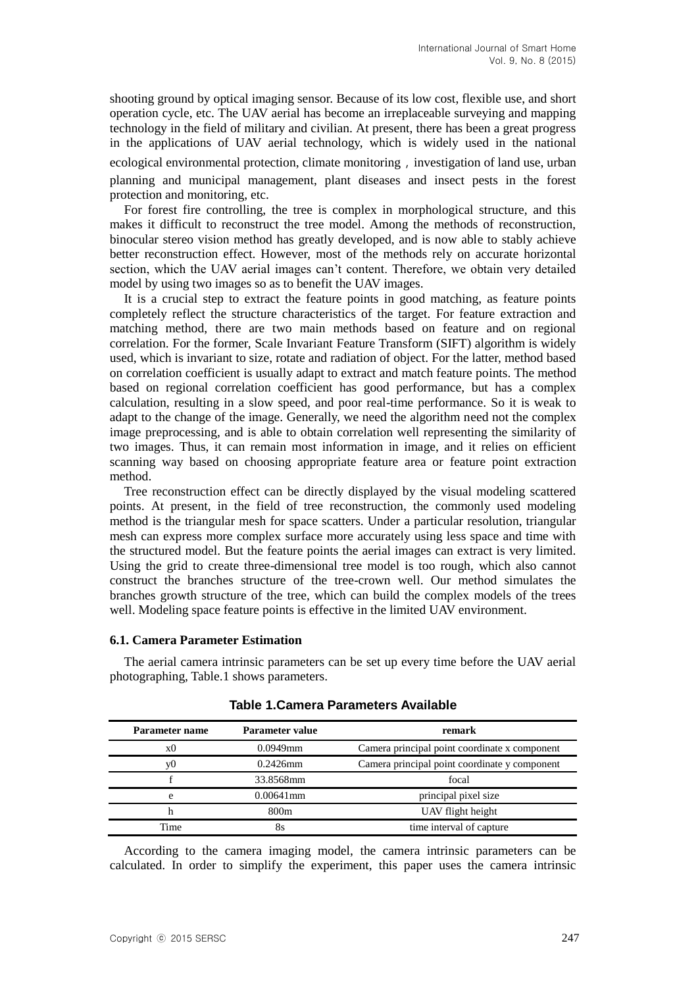shooting ground by optical imaging sensor. Because of its low cost, flexible use, and short operation cycle, etc. The UAV aerial has become an irreplaceable surveying and mapping technology in the field of military and civilian. At present, there has been a great progress in the applications of UAV aerial technology, which is widely used in the national

ecological environmental protection, climate monitoring, investigation of land use, urban planning and municipal management, plant diseases and insect pests in the forest protection and monitoring, etc.

For forest fire controlling, the tree is complex in morphological structure, and this makes it difficult to reconstruct the tree model. Among the methods of reconstruction, binocular stereo vision method has greatly developed, and is now able to stably achieve better reconstruction effect. However, most of the methods rely on accurate horizontal section, which the UAV aerial images can't content. Therefore, we obtain very detailed model by using two images so as to benefit the UAV images.

It is a crucial step to extract the feature points in good matching, as feature points completely reflect the structure characteristics of the target. For feature extraction and matching method, there are two main methods based on feature and on regional correlation. For the former, Scale Invariant Feature Transform (SIFT) algorithm is widely used, which is invariant to size, rotate and radiation of object. For the latter, method based on correlation coefficient is usually adapt to extract and match feature points. The method based on regional correlation coefficient has good performance, but has a complex calculation, resulting in a slow speed, and poor real-time performance. So it is weak to adapt to the change of the image. Generally, we need the algorithm need not the complex image preprocessing, and is able to obtain correlation well representing the similarity of two images. Thus, it can remain most information in image, and it relies on efficient scanning way based on choosing appropriate feature area or feature point extraction method.

Tree reconstruction effect can be directly displayed by the visual modeling scattered points. At present, in the field of tree reconstruction, the commonly used modeling method is the triangular mesh for space scatters. Under a particular resolution, triangular mesh can express more complex surface more accurately using less space and time with the structured model. But the feature points the aerial images can extract is very limited. Using the grid to create three-dimensional tree model is too rough, which also cannot construct the branches structure of the tree-crown well. Our method simulates the branches growth structure of the tree, which can build the complex models of the trees well. Modeling space feature points is effective in the limited UAV environment.

#### **6.1. Camera Parameter Estimation**

The aerial camera intrinsic parameters can be set up every time before the UAV aerial photographing, Table.1 shows parameters.

| <b>Parameter name</b> | Parameter value | remark                                        |  |
|-----------------------|-----------------|-----------------------------------------------|--|
| x0                    | $0.0949$ mm     | Camera principal point coordinate x component |  |
| vU                    | $0.2426$ mm     | Camera principal point coordinate y component |  |
|                       | 33.8568mm       | focal                                         |  |
| e                     | $0.00641$ mm    | principal pixel size                          |  |
|                       | 800m            | UAV flight height                             |  |
| Time                  | 8s              | time interval of capture                      |  |

#### **Table 1.Camera Parameters Available**

According to the camera imaging model, the camera intrinsic parameters can be calculated. In order to simplify the experiment, this paper uses the camera intrinsic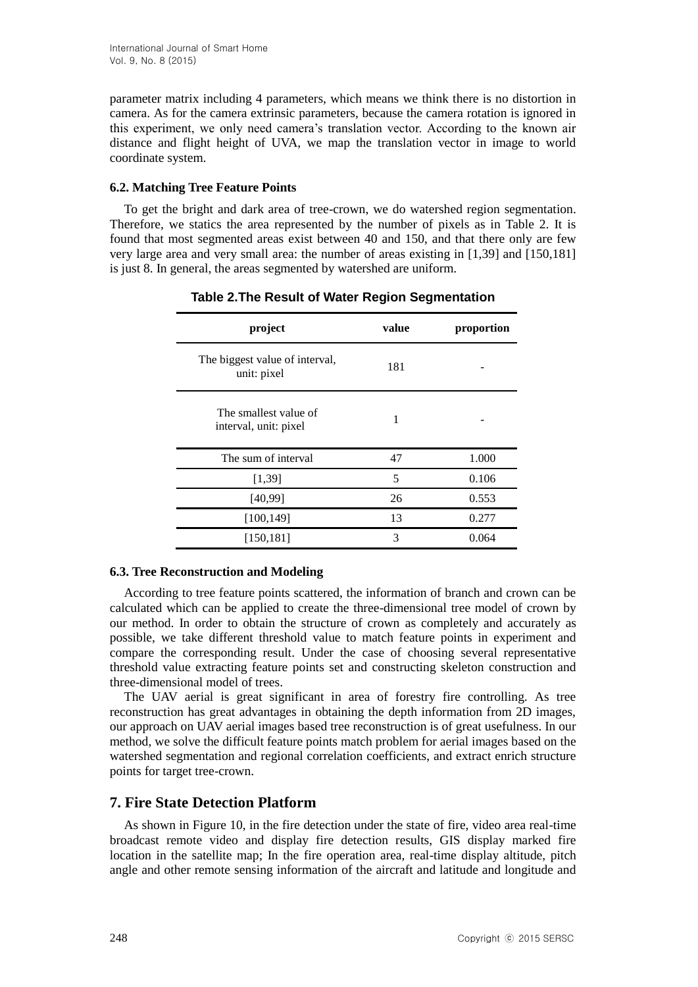parameter matrix including 4 parameters, which means we think there is no distortion in camera. As for the camera extrinsic parameters, because the camera rotation is ignored in this experiment, we only need camera's translation vector. According to the known air distance and flight height of UVA, we map the translation vector in image to world coordinate system.

#### **6.2. Matching Tree Feature Points**

To get the bright and dark area of tree-crown, we do watershed region segmentation. Therefore, we statics the area represented by the number of pixels as in Table 2. It is found that most segmented areas exist between 40 and 150, and that there only are few very large area and very small area: the number of areas existing in [1,39] and [150,181] is just 8. In general, the areas segmented by watershed are uniform.

| project                                        | value | proportion |
|------------------------------------------------|-------|------------|
| The biggest value of interval,<br>unit: pixel  | 181   |            |
| The smallest value of<br>interval, unit: pixel | 1     |            |
| The sum of interval                            | 47    | 1.000      |
| [1, 39]                                        | 5     | 0.106      |
| [40,99]                                        | 26    | 0.553      |
| [100, 149]                                     | 13    | 0.277      |
| [150, 181]                                     | 3     | 0.064      |

**Table 2.The Result of Water Region Segmentation**

## **6.3. Tree Reconstruction and Modeling**

According to tree feature points scattered, the information of branch and crown can be calculated which can be applied to create the three-dimensional tree model of crown by our method. In order to obtain the structure of crown as completely and accurately as possible, we take different threshold value to match feature points in experiment and compare the corresponding result. Under the case of choosing several representative threshold value extracting feature points set and constructing skeleton construction and three-dimensional model of trees.

The UAV aerial is great significant in area of forestry fire controlling. As tree reconstruction has great advantages in obtaining the depth information from 2D images, our approach on UAV aerial images based tree reconstruction is of great usefulness. In our method, we solve the difficult feature points match problem for aerial images based on the watershed segmentation and regional correlation coefficients, and extract enrich structure points for target tree-crown.

## **7. Fire State Detection Platform**

As shown in Figure 10, in the fire detection under the state of fire, video area real-time broadcast remote video and display fire detection results, GIS display marked fire location in the satellite map; In the fire operation area, real-time display altitude, pitch angle and other remote sensing information of the aircraft and latitude and longitude and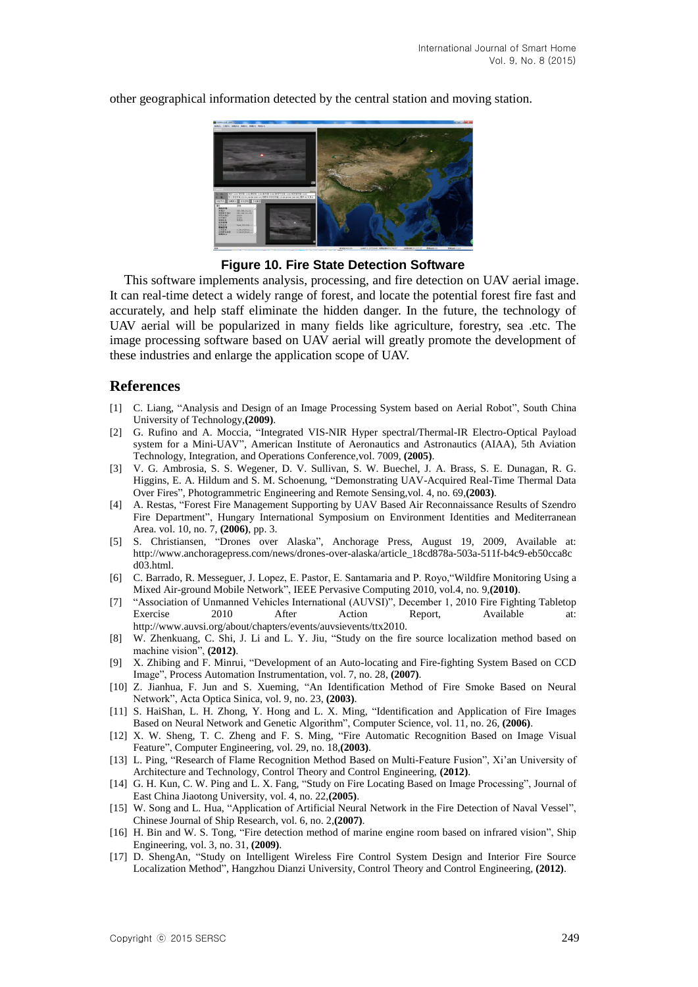other geographical information detected by the central station and moving station.



#### **Figure 10. Fire State Detection Software**

This software implements analysis, processing, and fire detection on UAV aerial image. It can real-time detect a widely range of forest, and locate the potential forest fire fast and accurately, and help staff eliminate the hidden danger. In the future, the technology of UAV aerial will be popularized in many fields like agriculture, forestry, sea .etc. The image processing software based on UAV aerial will greatly promote the development of these industries and enlarge the application scope of UAV.

#### **References**

- [1] C. Liang, "Analysis and Design of an Image Processing System based on Aerial Robot", South China University of Technology,**(2009)**.
- [2] G. Rufino and A. Moccia, "Integrated VIS-NIR Hyper spectral/Thermal-IR Electro-Optical Payload system for a Mini-UAV", American Institute of Aeronautics and Astronautics (AIAA), 5th Aviation Technology, Integration, and Operations Conference,vol. 7009, **(2005)**.
- [3] V. G. Ambrosia, S. S. Wegener, D. V. Sullivan, S. W. Buechel, J. A. Brass, S. E. Dunagan, R. G. Higgins, E. A. Hildum and S. M. Schoenung, "Demonstrating UAV-Acquired Real-Time Thermal Data Over Fires", Photogrammetric Engineering and Remote Sensing,vol. 4, no. 69,**(2003)**.
- [4] A. Restas, "Forest Fire Management Supporting by UAV Based Air Reconnaissance Results of Szendro Fire Department", Hungary International Symposium on Environment Identities and Mediterranean Area. vol. 10, no. 7, **(2006)**, pp. 3.
- [5] S. Christiansen, "Drones over Alaska", Anchorage Press, August 19, 2009, Available at: http://www.anchoragepress.com/news/drones-over-alaska/article\_18cd878a-503a-511f-b4c9-eb50cca8c d03.html.
- [6] C. Barrado, R. Messeguer, J. Lopez, E. Pastor, E. Santamaria and P. Royo,"Wildfire Monitoring Using a Mixed Air-ground Mobile Network", IEEE Pervasive Computing 2010, vol.4, no. 9,**(2010)**.
- [7] "Association of Unmanned Vehicles International (AUVSI)", December 1, 2010 Fire Fighting Tabletop Exercise 2010 After Action Report, Available at: http://www.auvsi.org/about/chapters/events/auvsievents/ttx2010.
- [8] W. Zhenkuang, C. Shi, J. Li and L. Y. Jiu, "Study on the fire source localization method based on machine vision", **(2012)**.
- [9] X. Zhibing and F. Minrui, "Development of an Auto-locating and Fire-fighting System Based on CCD Image", Process Automation Instrumentation, vol. 7, no. 28, **(2007)**.
- [10] Z. Jianhua, F. Jun and S. Xueming, "An Identification Method of Fire Smoke Based on Neural Network", Acta Optica Sinica, vol. 9, no. 23, **(2003)**.
- [11] S. HaiShan, L. H. Zhong, Y. Hong and L. X. Ming, "Identification and Application of Fire Images Based on Neural Network and Genetic Algorithm", Computer Science, vol. 11, no. 26, **(2006)**.
- [12] X. W. Sheng, T. C. Zheng and F. S. Ming, "Fire Automatic Recognition Based on Image Visual Feature", Computer Engineering, vol. 29, no. 18,**(2003)**.
- [13] L. Ping, "Research of Flame Recognition Method Based on Multi-Feature Fusion", Xi'an University of Architecture and Technology, Control Theory and Control Engineering, **(2012)**.
- [14] G. H. Kun, C. W. Ping and L. X. Fang, "Study on Fire Locating Based on Image Processing", Journal of East China Jiaotong University, vol. 4, no. 22,**(2005)**.
- [15] W. Song and L. Hua, "Application of Artificial Neural Network in the Fire Detection of Naval Vessel", Chinese Journal of Ship Research, vol. 6, no. 2,**(2007)**.
- [16] H. Bin and W. S. Tong, "Fire detection method of marine engine room based on infrared vision", Ship Engineering, vol. 3, no. 31, **(2009)**.
- [17] D. ShengAn, "Study on Intelligent Wireless Fire Control System Design and Interior Fire Source Localization Method", Hangzhou Dianzi University, Control Theory and Control Engineering, **(2012)**.